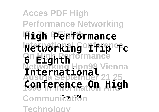#### **Acces PDF High Performance Networking High Performance Networking Ifip Tc On High Performance Networking Hpn98 Vienna Austria September 21 25** 1998 I<del>N Information</del> And Communi<sup>Page 1/54</sup>n **6 Eighth International Conference On High**

**Technology**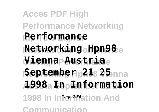# **Acces PDF High Performance Networking Ifip Tc 6 Eighth Performance International Conference Networking Hpn98 Vienna Austriae September 1218 25** nna  $\mathbf{1998}_\mathrm{a}$  In Laformation 1998 In Infage 2/54 ation And **Communication**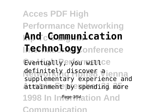# **Acces PDF High Performance Networking Ifip Tc 6 Eighth And Communication ITechnology**onference

Eventuallyerformance definitely discover a<br>cunnlamentary experienced **Attainment by spending more** supplementary experience and

1998 In Infage<sup>3/54</sup>ation And

**Communication**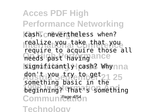**Acces PDF High Performance Networking** cash. cnevertheless when? reatize you take that you<br>require to acquire those all **needs** past having ance significantly cash? Whynna don't you try to get 21 25 **beginning?** That<sup>1</sup>s something Communi<sup>Page 4/54</sup><sub>n</sub> **Technology** realize you take that you something basic in the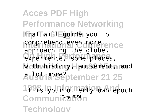**Acces PDF High Performance Networking Ifip Tc 6 Eighth** that will guide you to comprehend even more ence experience, some places, With history Hamusement, and **Austria September 21 25** a lot more? 1998 lyourf at terly own repoch Communi<sup>cage 5/54</sup>n **Technology** approaching the globe,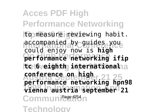**Acces PDF High Performance Networking Ifip Tc 6 Eighth** to measure reviewing habit. accompanied by guides you **On High Performance performance networking ifip ltc 6 eighth international** a **Austria September 21 25 conference on high 1998 In Information And vienna austria september 21** Communi<sup>Page 6/54</sup>n **Technology** could enjoy now is **high performance networking hpn98**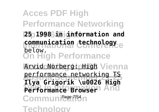**Acces PDF High Performance Networking Ifip Tc 6 Eighth 25 1998 in information and communication technology**e **On High Performance** Arvid Norberg: High Vienna **Austria September 21 25 Ilya Grigorik \u0026 High 1998 In Information And Performance Browser** Communicat<sup>7/54</sup>n **Technology** below. performance networking TS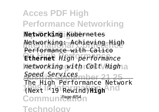**Acces PDF High Performance Networking Ifip Tc 6 Eighth Networking** Kubernetes **Networking: Achieving High On High Performance Ethernet** *High performance*  $networking with COlt/Higha$ **Austria September 21 25** *Speed Services* **1998 In Information And** (Next '19 Rewind)**High** Communi<sup>Page 8/54</sup><sub>n</sub> **Technology** Performance with Calico The High Performance Network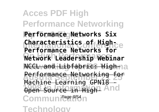**Acces PDF High Performance Networking Ifip Tc 6 Eighth Performance Networks Six Characteristics of High-On High Performance Network Leadership Webinar** NCCL and Libfabric: High-na **Performance Networking for 1998 Source in High-And** Communi<sup>cage 9/54</sup>n **Technology Performance Networks for** Machine Learning GPN18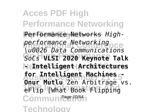**Acces PDF High Performance Networking** Performance Networks *High-***International Conference** *performance Networking* **On High Performance** *SoCs* **VLSI 2020 Keynote Talk Networking Hpn98 Vienna - Intelligent Architectures Austria September 21 25 for Intelligent Machines - 1998 In Information And** eFlip [What Book Flipping Communication **Technology** *\u0026 Data Communications* **Onur Mutlu** Zen Arbitrage vs.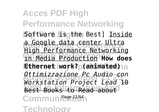**Acces PDF High Performance Networking** Software is the Best] Inside <u>a Google data center Ultra</u><br><u>High Performance Networking</u> **On High Performance** in Media Production **How does Ethernet work? p(animated)** a **Austria September 21 25** *Ottimizzazione Pc Audio con* **1998 Incread Andrew Best Books to Read about** Communicat<sup>11/54</sup> **Technology** a Google data center Ultra *Workstation Project Lead* 10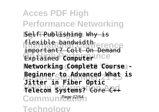**Acces PDF High Performance Networking Ifip Tc 6 Eighth** Self Publishing Why is **International Conference** important? Colt On Demand **Explained Computer** nce **Networking Complete Course -Austria September 21 25 Jitter in Fiber Optic 1998 In Information And Telecom Systems?** Core C++ Communication **Technology** flexible bandwidth **Beginner to Advanced What is**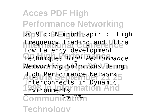**Acces PDF High Performance Networking Ifip Tc 6 Eighth** 2019 :: Nimrod Sapir :: High **Frequency Trading and Ultra On High Performance** techniques *High Performance* **Networking Hpn98 Vienna** *Networking Solutions* Using High Performance Network<sub>5</sub> **Environments mation And** Low Latency development Interconnects in Dynamic

Communication

**Technology**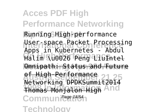**Acces PDF High Performance Networking** Running High-performance User-space Packet Processing **On High Performance** Halim \u0026 Peng LiuIntel **Networking Hpn98 Vienna** Omnipath: Status and Future **Austria September 21 25** Networking DPDKSummit2014 **1998 In Information And** Thomas Monjalon High Communicat<sup>14/54</sup> **Technology** Apps in Kubernetes - Abdul of High-Performance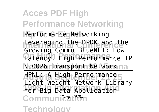**Acces PDF High Performance Networking Ifip Tc 6 Eighth** Performance Networking **Leveraging the DPDK and the On High Performance** Latency, High Performance IP **Nu0026 Transport Network** na **Austria September 21 25** HPNL: A High-Performance **1998 Inc. Account Library** Communication **Technology** Growing Commu BlueNET: Low Light Weight Network Library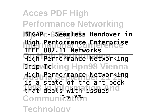**Acces PDF High Performance Networking Ifip Tc 6 Eighth BIGAP - Seamless Handover in International Conference High Performance Enterprise On High Performance** High Performance Networking **Netpvocking Hpn98 Vienna Austria September 21 25** High Performance Networking that deals with issues nd Communication **Technology IEEE 802.11 Networks** is a state-of-the-art book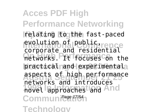**Acces PDF High Performance Networking Ifip Tc 6 Eighth** relating to the fast-paced evolution of public rence **On High Performance** networks. It focuses on the practical nand experimentala aspects of high performance **1998 Increased And** Communicat<sub>17/54</sub> **Technology** corporate and residential networks and introduces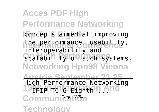**Acces PDF High Performance Networking** concepts aimed at improving the performance, usability, **Scalability of such Systems. Networking Hpn98 Vienna Austria September 21 25** 19<sub>1</sub>8 In India Eighth ... And Communication **Technology** interoperability and High Performance Networking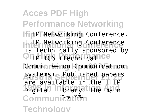**Acces PDF High Performance Networking** IFIP Networking Conference. **International Conference** IFIP Networking Conference **PFIP TC6** (Technical Ce Committee on Communicationa Systems). Published papers **Digital Library. The main** Communication **Technology** is technically sponsored by are available in the IFIP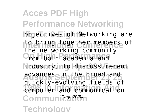**Acces PDF High Performance Networking** objectives of Networking are to bring together members of **from both academia and** lindustry, nto discuss Viecent advances in the proad and<br>quickly-evolving fields of **1998 In Information And** computer and communication Communication **Technology** the networking community advances in the broad and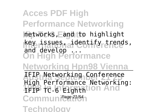**Acces PDF High Performance Networking** Inetworks, Eand to highlight **Ikey issues, aidentify trends, On High Performance Networking Hpn98 Vienna IFIP Networking Conference 1FIP TC-6 Eighthtion And** Communication **Technology** and develop ... High Performance Networking:<br>TETP TC 6 Eighth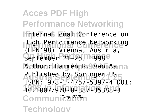**Acces PDF High Performance Networking** International Conference on **International Conference Networking** September 21–25, 1998e Author: Harmen R. 9 Van As na Published by Springer US<br>TSDN: 070 1.757071420 **1998 In Information And** 10.1007/978-0-387-35388-3 Communica<sup>22/54</sup>1 **Technology** (HPN'98) Vienna, Austria, ISBN: 978-1-4757-5397-4 DOI: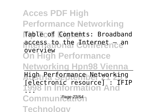**Acces PDF High Performance Networking** Table of Contents: Broadband accessato the **Internet Lean On High Performance Networking Hpn98 Vienna Augh Performance Networkin 1998 In Information And** Communica<sup>23/54</sup> **Technology** overview High Performance Networking [electronic resource] : IFIP ...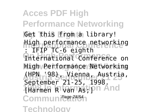**Acces PDF High Performance Networking Get this figmta library!** High performance networking **International Conference on** High Performance Networking **Austria September 21 25** (HPN '98), Vienna, Austria, **1998 Innocentral Contract** Communica<sup>24/54</sup> **Technology** : IFIP TC-6 eighth September 21-25, 1998.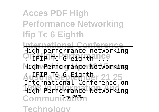## **Acces PDF High Performance Networking Ifip Tc 6 Eighth**

**International Conference** On Fight<sup>o</sup> Committee Income **High Performance Networking** High performance networking

**Austria September 21 25** : IFIP TC-6 Eighth **1998 In Information And** High Performance Networking Communica<sup>25/54</sup>1 International Conference on

**Technology**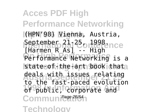**Acces PDF High Performance Networking Ifip Tc 6 Eighth** (HPN'98) Vienna, Austria, September 21<sup>25</sup>on<sup>1998</sup>ence **On High Performance** Performance Networking is a state-of-the-apt book thata deals with issues relating of public, corporate and Communica<sup>26/54</sup>1 **Technology** [Harmen R As] -- High to the fast-paced evolution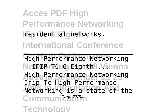**Acces PDF High Performance Networking Ifip Tc 6 Eighth** residential networks. **International Conference**

**On High Performance** High Performance Networking Networking **Eighth**8 Vienna **Austria September 21 25** High Performance Networking **1998 In Information And Information** Communicae<sup>27/54</sup>1 **Technology** Ifip Tc High Performance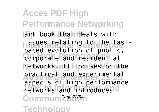**Acces PDF High Performance Networking lart book that deals with** issues relating to the fast-**On High Performance** corporate and residential hetworks. InIt Hocuses Vonnthe practical and experimental **1998 1998 1998 1998 1998 1999 1999 1999 1999 1999 1999 1999 1999 1999 1999 1999 1999 1999 1999 1999 1999 1999 1999 1999 1999 1999 1999 1999 1999 1999 1999 1999** Communica<sup>28/54</sup> **Technology** paced evolution of public, aspects of high performance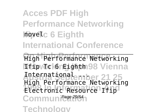**Acces PDF High Performance Networking Ifip Tc 6 Eighth** novel **International Conference**

**On High Performance** High Performance Networking **Neipvockineighth98 Vienna Austria September 21 25** International ... **1998 Increase Accupitor** Communica<sup>29/54</sup>1 **Technology** High Performance Networking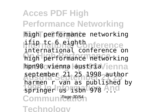**Acces PDF High Performance Networking** high performance networking lifip ts 6 eightbnference **On High Performance** high performance networking hpn98 vienna laustria /ienna **Austria September 21 25** september 21 25 1998 author 1998 In 1998 **Line 1998** Communication **Technology** international conference on harmen r van as published by springer us isbn 978 ...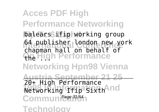**Acces PDF High Performance Networking** balears<sup>3</sup>ifip working group **International Conference**<br> **International Conference On High Performance Networking Hpn98 Vienna Austria September 21 25 Networking Ifip Sixth And** Communica<sup>31/54</sup>1 **Technology** 64 publisher london new york chapman hall on behalf of the  $\Box$   $\Omega$ 20+ High Performance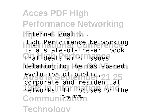**Acces PDF High Performance Networking** International th. **International Conference** High Performance Networking **On High Performance** that deals with issues relating to the riast-paceda **Austria September 21 25** evolution of public, **1998 Inc. It focuses on the** Communica<sup>32/54</sup>1 **Technology** is a state-of-the-art book corporate and residential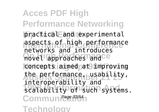**Acces PDF High Performance Networking** practical and experimental **International Conference** aspects of high performance novel approaches and Ce concepts aimed at 3 improving the performance, usability, **1998 In Information And** scalability of such systems. Communica<sup>33/54</sup>1 **Technology** networks and introduces interoperability and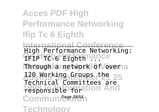**Acces PDF High Performance Networking Ifip Tc 6 Eighth International Conference TFIP TC-6 Eighth ance** Through a network of *Vover* a 120 Working Groups the 25 responsible for tion And Communica<sup>34/54</sup> **Technology** High Performance Networking: Technical Committees are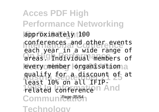**Acces PDF High Performance Networking Ifip Tc 6 Eighth** approximately 100 conferences and other events<br>each year in a wide range of **On High Performance** areas. Individual members of every member lorganisation a qualify for a discount of at **1998 Internet And** Communica<sup>35/54</sup>1 **Technology** conferences and other events least 10% on all IFIP-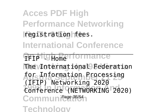**Acces PDF High Performance Networking Ifip Tc 6 Eighth** registration fees.

**International Conference**

**PFIP IGH<sub>ome</sub>rformance** 

**The International Federation** 

for Information Processing **1998 In Information And** Conference (NETWORKING 2020) Communica<sup>36/54</sup>1 (IFIP) Networking 2020

**Technology**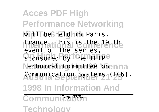**Acces PDF High Performance Networking Ifip Tc 6 Eighth** will be held in Paris, **France. This is the 19 th** Sponsored by the IFIP<sup>e</sup> Technical Committee onenna **Austria September 21 25** Communication Systems (TC6). **1998 In Information And** event of the series,

Communication

**Technology**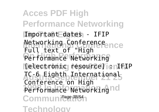**Acces PDF High Performance Networking Ifip Tc 6 Eighth** Important dates - IFIP **Networking Conference**<br>Full taut conference Performance Networking **Networking Hpn98 Vienna** [electronic resource] : IFIP **Austria September 21 25** TC-6 Eighth International Performance Networking nd Communica<sup>38/54</sup> **Technology** Full text of "High Conference on High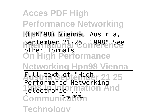**Acces PDF High Performance Networking Ifip Tc 6 Eighth** (HPN'98) Vienna, Austria, September 211<sup>25</sup> or 1998 "nSee **On High Performance Networking Hpn98 Vienna Austria September 21 25 1998 In Information And** Communica<sup>39/54</sup>1 **Technology** other formats Full text of "High Performance Networking [electronic ...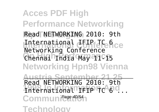**Acces PDF High Performance Networking** Read NETWORKING 2010: 9th International IFIP TC 6ce **On High Performance** Chennai India May 11-15 **Networking Hpn98 Vienna Austria September 21 25 International IFIP TC 6 ...** Communication **Technology** Networking Conference Read NETWORKING 2010: 9th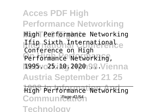**Acces PDF High Performance Networking** High Performance Networking Ifip Sixth Internationale **On High Performance** Performance Networking, 1995. **25.10. 2020** 98 Vienna **Austria September 21 25** High Performance Networking Communicat<sup>41/54</sup> **Technology** Conference on High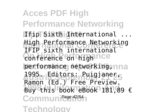**Acces PDF High Performance Networking** Ifip Sixth International ... **International Conference Networking Conference on high nce** performance networking, nna **Austria September 21 25** 1995. Editors: Puigjaner, **1998 Inc. 1998 Fook eBook 181,89 €** Communication **Technology** IFIP sixth international Ramon (Ed.) Free Preview.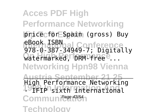**Acces PDF High Performance Networking Ifip Tc 6 Eighth** price for Spain (gross) Buy **International Conference** 978-0-387-34949-7; Digitally watermarked, DRM-free<sup>e</sup>... **Networking Hpn98 Vienna Austria September 21 25 1998 In Information And** - IFIP sixth international Communication **Technology** eBook ISBN High Performance Networking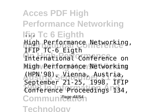**Acces PDF High Performance Networking Ifip Tc 6 Eighth** ... High Performance Networking, **International Conference on** High Performance Networking **Austria September 21 25** (HPN'98), Vienna, Austria, **1998 In Information And** Conference Proceedings 134, Communication **Technology** IFIP TC-6 Eigth September 21-25, 1998. IFIP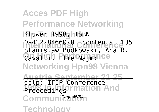**Acces PDF High Performance Networking** Kluwer 1998, ISBN **International Conference** 0-412-84660-8 [contents] 135 Cavalli, Elie Najm:nce **Networking Hpn98 Vienna Austria September 21 25 mation And** Communication **Technology** Stanislaw Budkowski, Ana R. dblp: IFIP Conference Proceedings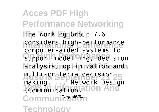**Acces PDF High Performance Networking** The Working Group 7.6 considers high-performance **Support modelling, decision** analysis, noptimization and multi-criteria decision25 **1998 Inches** Inc. 1998 Communication **Technology** computer-aided systems to making. ... Network Design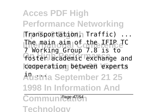**Acces PDF High Performance Networking Ifip Tc 6 Eighth** Transportation, Traffic) ... The main aim of the IFIP TC foster academic exchange and cooperation between experts **Austria September 21 25 1998 In Information And** 7 Working Group 7.8 is to

Communication

**Technology**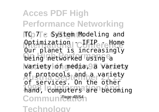**Acces PDF High Performance Networking TC 7 c System Modeling and** Optimization C<del>U</del>FIP - Home being networked using a **Networking Hpn98 Vienna** variety of media, a variety **Austria September 21 25** of protocols and a variety hand, computers are becoming Communication **Technology** Our planet is increasingly of services. On the other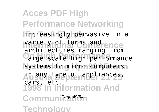**Acces PDF High Performance Networking Ifip Tc 6 Eighth** increasingly pervasive in a variety of forms and ence **On High Performance** large scale high performance systems to micro computersa **Austria September 21 25** in any type of appliances, **1998 In Information And** architectures ranging from cars, etc.

Communication

**Technology**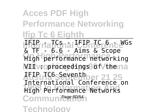## **Acces PDF High Performance Networking Ifip Tc 6 Eighth**

IF<del>ILI</del> naTGnal E UnTErence<sup>yGs</sup> **On High Performance** High performance networking N**II** w oproceedings of Vthe na **Austria September 21 25** IFIP TC6 Seventh **1998 In Information And** High Performance Networks Communication **Technology** & TF - 6.6 - Aims & Scope International Conference on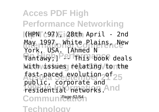**Acces PDF High Performance Networking Ifip Tc 6 Eighth** (HPN '97), 28th April - 2nd May 1997, White Plains, New Tantawy;] Perfhis book deals With *issues* relating /tonthe Tast-paced evolution<sub>29</sub>T<sub>25</sub> **1998 Inc.** 1998 Inc. 1998 Inc. Communication **Technology** York, USA. [Ahmed N fast-paced evolution of public, corporate and residential networks.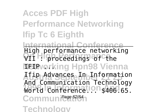### **Acces PDF High Performance Networking Ifip Tc 6 Eighth**

**International Conference On High Performance** VII : proceedings of the **NETP** *vorking* Hpn98 Vienna **Austria September 21 25** Ifip Advances In Information World Comference.<sup>10.1</sup>\$406.65. Communication **Technology** High performance networking And Communication Technology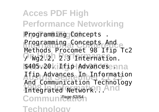**Acces PDF High Performance Networking** Programming Concepts . **Programming Concepts And On High Performance** / Wg2.2, 2.3 Internation. \$405.20kilfip Advancesenna **Austria September 21 25** Ifip Advances In Information **Integrated Network...** And Communication **Technology** Methods Procomet 98 Ifip Tc2 And Communication Technology